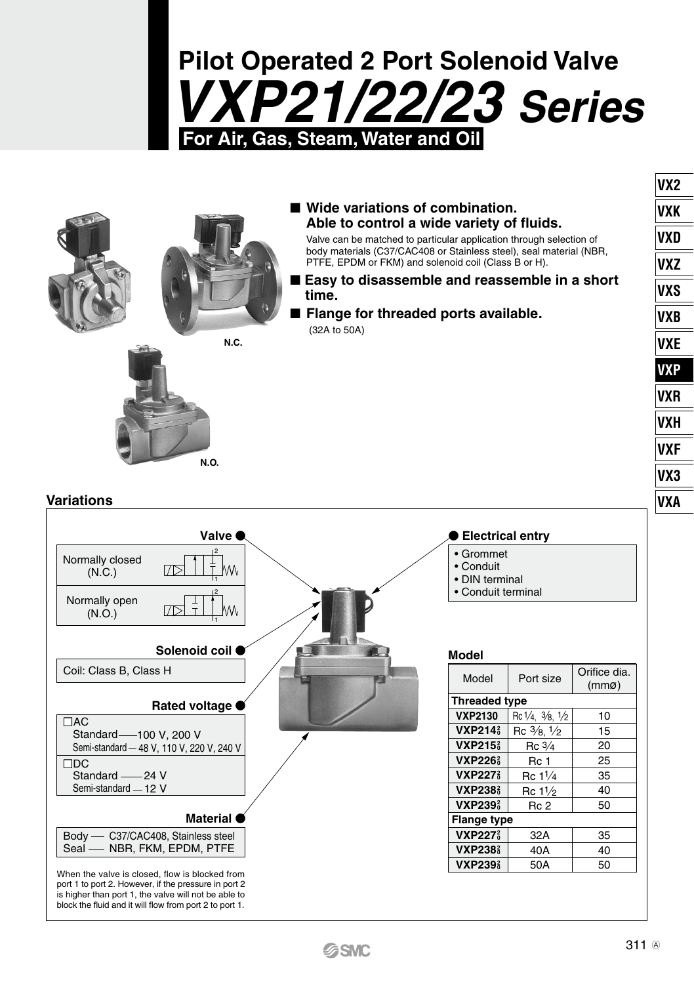# **Pilot Operated 2 Port Solenoid Valve** *VXP21/22/23 Series* **For Air, Gas, Steam, Water and Oil**



# ■ Wide variations of combination. **Able to control a wide variety of fluids.**

Valve can be matched to particular application through selection of body materials (C37/CAC408 or Stainless steel), seal material (NBR, PTFE, EPDM or FKM) and solenoid coil (Class B or H).

- Easy to disassemble and reassemble in a short **time.**
- **Flange for threaded ports available.** (32A to 50A)

### **Variations**



**N.O.**

#### **Electrical entry**

- Grommet
- Conduit
- DIN terminal
- Conduit terminal
- 

#### **Model**

| Model                      | Port size                    | Orifice dia.<br>(mmg) |  |  |
|----------------------------|------------------------------|-----------------------|--|--|
| <b>Threaded type</b>       |                              |                       |  |  |
| <b>VXP2130</b>             | Rc 1/4, 3/8, 1/2             | 10                    |  |  |
| <b>VXP214</b>              | $Rc \frac{3}{8} \frac{1}{2}$ | 15                    |  |  |
| <b>VXP215</b>              | $Rc\frac{3}{4}$              | 20                    |  |  |
| <b>VXP226</b> <sup>2</sup> | Rc 1                         | 25                    |  |  |
| <b>VXP227</b>              | Rc 11/4                      | 35                    |  |  |
| <b>VXP238</b>              | Rc 11/ <sub>2</sub>          | 40                    |  |  |
| <b>VXP239</b>              | Rc 2                         | 50                    |  |  |
| <b>Flange type</b>         |                              |                       |  |  |
| <b>VXP227</b>              | 32A                          | 35                    |  |  |
| <b>VXP238</b>              | 40A                          | 40                    |  |  |
| <b>VXP239</b>              | 50A                          | 50                    |  |  |

**VX2 VXK VXD VXZ VXS VXB VXE VXP VXR VXH VXF VX3 VXA**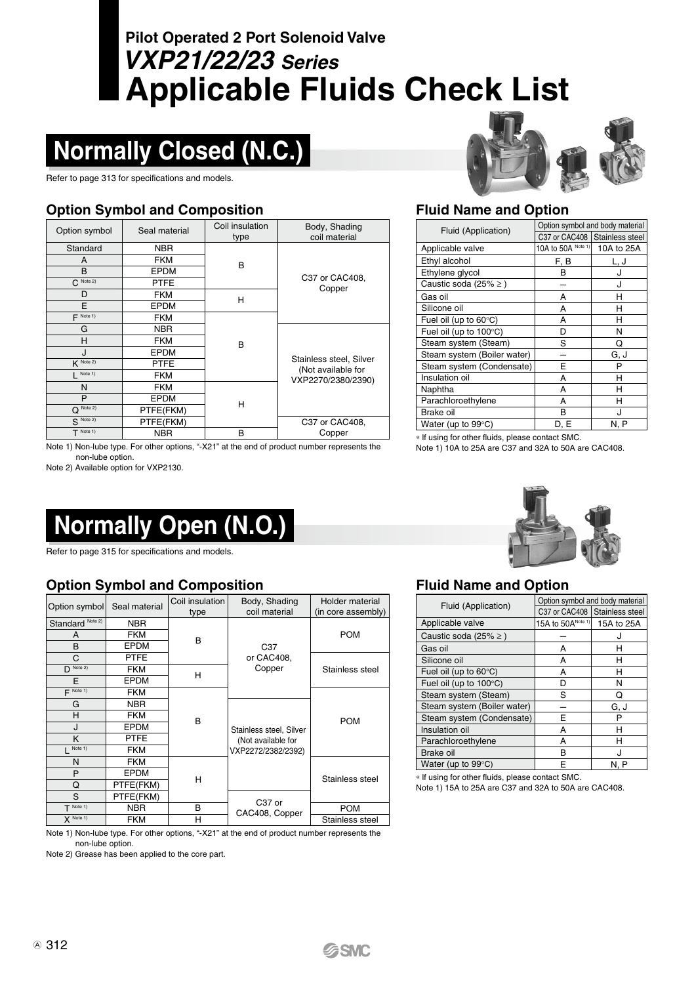# **Applicable Fluids Check List Pilot Operated 2 Port Solenoid Valve** *VXP21/22/23 Series*

# **Normally Closed (N.C.)**

Refer to page 313 for specifications and models.

# **Option Symbol and Composition Fluid Name and Option**

| Option symbol | Seal material | Coil insulation<br>type | Body, Shading<br>coil material           |
|---------------|---------------|-------------------------|------------------------------------------|
| Standard      | <b>NBR</b>    |                         |                                          |
| A             | <b>FKM</b>    | B                       |                                          |
| B             | <b>EPDM</b>   |                         |                                          |
| $C^{Note 2}$  | <b>PTFE</b>   |                         | C37 or CAC408,<br>Copper                 |
| D             | <b>FKM</b>    | н                       |                                          |
| E             | EPDM          |                         |                                          |
| $F$ Note 1)   | <b>FKM</b>    |                         |                                          |
| G             | <b>NBR</b>    |                         |                                          |
| Н             | <b>FKM</b>    | B                       |                                          |
| $\mathbf{J}$  | <b>EPDM</b>   |                         |                                          |
| $K$ Note 2)   | <b>PTFE</b>   |                         | Stainless steel, Silver                  |
| $L$ Note 1)   | <b>FKM</b>    |                         | (Not available for<br>VXP2270/2380/2390) |
| N             | <b>FKM</b>    |                         |                                          |
| P             | <b>EPDM</b>   |                         |                                          |
| Note 2)<br>Ω  | PTFE(FKM)     | н                       |                                          |
| $S$ Note 2)   | PTFE(FKM)     |                         | C37 or CAC408,                           |
| $T$ Note 1)   | <b>NBR</b>    | в                       | Copper                                   |

Note 1) Non-lube type. For other options, "-X21" at the end of product number represents the non-lube option.

Note 2) Available option for VXP2130.

# **Normally Open (N.O.)**

Refer to page 315 for specifications and models.

# **Option Symbol and Composition Fluid Name and Option**

| Option symbol        | Seal material | Coil insulation<br>type | Body, Shading<br>coil material | Holder material<br>(in core assembly) |  |  |
|----------------------|---------------|-------------------------|--------------------------------|---------------------------------------|--|--|
| Standard Note 2)     | <b>NBR</b>    |                         |                                |                                       |  |  |
| A                    | <b>FKM</b>    | B                       |                                | <b>POM</b>                            |  |  |
| B                    | EPDM          |                         | C37                            |                                       |  |  |
| C                    | PTFE          |                         | or CAC408.                     |                                       |  |  |
| $D$ Note 2)          | <b>FKM</b>    | н                       | Copper                         | Stainless steel                       |  |  |
| E                    | EPDM          |                         |                                |                                       |  |  |
| $\mathbf{F}$ Note 1) | <b>FKM</b>    |                         |                                |                                       |  |  |
| G                    | NBR.          |                         |                                |                                       |  |  |
| н                    | <b>FKM</b>    | B                       |                                | <b>POM</b>                            |  |  |
| $\mathbf{I}$         | EPDM          |                         | Stainless steel, Silver        |                                       |  |  |
| K                    | <b>PTFE</b>   |                         | (Not available for             |                                       |  |  |
| Note 1)              | <b>FKM</b>    |                         | VXP2272/2382/2392)             |                                       |  |  |
| N                    | <b>FKM</b>    |                         |                                |                                       |  |  |
| P                    | EPDM          |                         |                                | Stainless steel                       |  |  |
| Q                    | PTFE(FKM)     | н                       |                                |                                       |  |  |
| S                    | PTFE(FKM)     |                         |                                |                                       |  |  |
| $T$ Note 1)          | <b>NBR</b>    | B                       | C37 or<br>CAC408, Copper       | <b>POM</b>                            |  |  |
| $X$ Note 1)          | <b>FKM</b>    | н                       |                                | Stainless steel                       |  |  |

Note 1) Non-lube type. For other options, "-X21" at the end of product number represents the non-lube option.

Note 2) Grease has been applied to the core part.



| Fluid (Application)         |                    | Option symbol and body material |
|-----------------------------|--------------------|---------------------------------|
|                             |                    | C37 or CAC408 Stainless steel   |
| Applicable valve            | 10A to 50A Note 1) | 10A to 25A                      |
| Ethyl alcohol               | F. B               | L, J                            |
| Ethylene glycol             | в                  | J                               |
| Caustic soda (25% $\geq$ )  |                    | J                               |
| Gas oil                     | A                  | н                               |
| Silicone oil                | А                  | н                               |
| Fuel oil (up to 60°C)       | А                  | н                               |
| Fuel oil (up to 100°C)      | D                  | N                               |
| Steam system (Steam)        | S                  | Q                               |
| Steam system (Boiler water) |                    | G, J                            |
| Steam system (Condensate)   | E                  | P                               |
| Insulation oil              | А                  | н                               |
| Naphtha                     | А                  | н                               |
| Parachloroethylene          | А                  | н                               |
| Brake oil                   | в                  | л                               |
| Water (up to 99°C)          | D. E               | N, P                            |

∗ lf using for other fluids, please contact SMC.

Note 1) 10A to 25A are C37 and 32A to 50A are CAC408.



| Fluid (Application)         |                   | Option symbol and body material |
|-----------------------------|-------------------|---------------------------------|
|                             |                   | C37 or CAC408 Stainless steel   |
| Applicable valve            | 15A to 50ANote 1) | 15A to 25A                      |
| Caustic soda (25% $\geq$ )  |                   |                                 |
| Gas oil                     | А                 | н                               |
| Silicone oil                | А                 | н                               |
| Fuel oil (up to 60°C)       | А                 | н                               |
| Fuel oil (up to 100°C)      | D                 | N                               |
| Steam system (Steam)        | S                 | Ω                               |
| Steam system (Boiler water) |                   | G. J                            |
| Steam system (Condensate)   | Е                 | Р                               |
| Insulation oil              | А                 | н                               |
| Parachloroethylene          | А                 | н                               |
| Brake oil                   | в                 |                                 |
| Water (up to 99°C)          | E                 | N. P                            |

∗ lf using for other fluids, please contact SMC. Note 1) 15A to 25A are C37 and 32A to 50A are CAC408.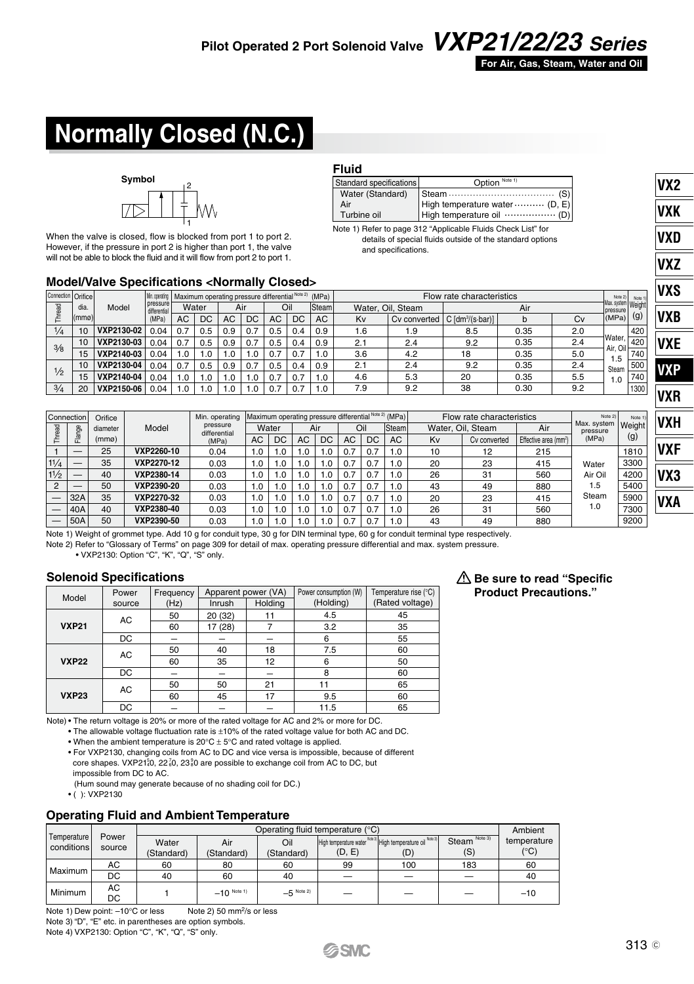

**VX2 VXK VXD VXZ VXS**

Steam (S) High temperature water ......... (D, E) High temperature oil (D) Option Note 1

Note 1) Refer to page 312 "Applicable Fluids Check List" for details of special fluids outside of the standard options

# **Normally Closed (N.C.)**



When the valve is closed, flow is blocked from port 1 to port 2. However, if the pressure in port 2 is higher than port 1, the valve will not be able to block the fluid and it will flow from port 2 to port 1.

### **Model/Valve Specifications <Normally Closed>**

| Connection Orifice |                  |            | Min. operating           |     |          | Maximum operating pressure differential Note 2) |     |     |     | (MPa) | Flow rate characteristics |                   |                              |      |     |                                | Note 21<br>Note 1 | IVXS       |
|--------------------|------------------|------------|--------------------------|-----|----------|-------------------------------------------------|-----|-----|-----|-------|---------------------------|-------------------|------------------------------|------|-----|--------------------------------|-------------------|------------|
| 몽                  | dia.             | Model      | pressure<br>differential |     | Water    |                                                 | Air |     | Oil | Steam |                           | Water, Oil, Steam |                              | Air  |     | Max. system Weight<br>pressure |                   |            |
|                    | l(mmø)l          |            | (MPa)                    | AC  | DC       | AC                                              | DC  | AC  | DC  | AC    | Kv                        | Cy converted      | C [dm <sup>3</sup> /(s-bar)] |      | Cv  | (MPa)                          | (g)               | <b>VXB</b> |
| 1/4                | 10               | VXP2130-02 | 0.04                     | 0.7 | 0.5      | 0.9                                             | 0.7 | 0.5 | 0.4 | 0.9   | 0.1                       | . 9               | 8.5                          | 0.35 | 2.0 |                                | 420               |            |
| $\frac{3}{8}$      | 10               | VXP2130-03 | 0.04                     | 0.7 | 0.5      | 0.9                                             | 0.7 | 0.5 | 0.4 | 0.9   | 2.1                       | 2.4               | 9.2                          | 0.35 | 2.4 | Water,                         | 420               | <b>VXE</b> |
|                    | 15               | VXP2140-03 | 0.04                     | 1.0 | .0       | 1.0                                             | 1.0 | 0.7 |     | 1.0   | 3.6                       | 4.2               | 18                           | 0.35 | 5.0 | Air. Oil-<br>1.5               | 740               |            |
|                    | 10 <sup>10</sup> | VXP2130-04 | 0.04                     | 0.7 | 0.5      | 0.9                                             | 0.7 | 0.5 | 0.4 | 0.9   | 2.1                       | 2.4               | 9.2                          | 0.35 | 2.4 | Steam                          | 500               | <b>VXP</b> |
| $\frac{1}{2}$      | 15               | VXP2140-04 | 0.04                     | 1.0 | .0       | 1.0                                             | 1.0 | 0.7 | 0.  | 1.0   | 4.6                       | 5.3               | 20                           | 0.35 | 5.5 | 1.0                            | 740               |            |
| 3/4                | 20               | VXP2150-06 | 0.04                     | 0.، | $\Omega$ | 1.0                                             | .0  | 0.7 |     | 1.0   | 7.9                       | 9.2               | 38                           | 0.30 | 9.2 |                                | 1300              |            |
|                    |                  |            |                          |     |          |                                                 |     |     |     |       |                           |                   |                              |      |     |                                |                   | <b>VXR</b> |

Water (Standard) Air Turbine oil

Standard specifications

**Fluid**

and specifications.

|          | Connection | Orifice           |            | Min. operating<br>pressure | Maximum operating pressure differential Note 2) (MPa)<br>Flow rate characteristics<br>Water<br>Oil<br>Water, Oil, Steam |                |     |            |          | Note 2)<br>Max. system | Note 1<br>Weight   | 'VXH |              |                                          |                   |      |            |
|----------|------------|-------------------|------------|----------------------------|-------------------------------------------------------------------------------------------------------------------------|----------------|-----|------------|----------|------------------------|--------------------|------|--------------|------------------------------------------|-------------------|------|------------|
|          | த<br>ミ     | diameter<br>(mmo) | Model      | differential<br>(MPa)      | <b>AC</b>                                                                                                               | D <sub>C</sub> | AC  | Air<br>DC. | AC       | D <sub>C</sub>         | <b>Steam</b><br>AC | Kv   | Cv converted | Air<br>Effective area (mm <sup>2</sup> ) | pressure<br>(MPa) | (g)  |            |
|          |            | 25                | VXP2260-10 | 0.04                       | 1.0                                                                                                                     | 1.0            | 0.1 | .C         | 0.       | 0.7                    | 1.0                | 10   | 12           | 215                                      |                   | 1810 | VXF        |
| 11/4     |            | 35                | VXP2270-12 | 0.03                       | 1.0                                                                                                                     | 0. ا           | .0  | $\Omega$   | 0.       | 0.7                    | .0                 | 20   | 23           | 415                                      | Water             | 3300 |            |
| 11/2     |            | 40                | VXP2380-14 | 0.03                       | 1.0                                                                                                                     | 0.،            | 0.1 | $\Omega$   | 0.       | 0.7                    | 1.0                | 26   | 31           | 560                                      | Air Oil           | 4200 | VX3        |
| $\Omega$ |            | 50                | VXP2390-20 | 0.03                       | 1.0                                                                                                                     | 1.0            | 0.1 |            | $\Omega$ | 0.7                    | 1.0                | 43   | 49           | 880                                      | 1.5               | 5400 |            |
|          | 32A        | 35                | VXP2270-32 | 0.03                       | 1.0                                                                                                                     | 0.،            | 0.۱ | $\Omega$   | 0.       | 0.7                    | 1.0                | 20   | 23           | 415                                      | Steam             | 5900 | <b>VXA</b> |
|          | 40A        | 40                | VXP2380-40 | 0.03                       | 1.0                                                                                                                     | 1.0            | 0.1 |            | 0.       | 0.7                    | .0                 | 26   | 31           | 560                                      | 1.0               | 7300 |            |
|          | 50A        | 50                | VXP2390-50 | 0.03                       | 1.0                                                                                                                     | 1.0            |     |            |          | 0.7                    | 1.0                | 43   | 49           | 880                                      |                   | 9200 |            |

Note 1) Weight of grommet type. Add 10 g for conduit type, 30 g for DIN terminal type, 60 g for conduit terminal type respectively. Note 2) Refer to "Glossary of Terms" on page 309 for detail of max. operating pressure differential and max. system pressure.

• VXP2130: Option "C", "K", "Q", "S" only.

#### **Solenoid Specifications**

| Model        | Power     | Frequency | Apparent power (VA) |                          | Power consumption (W) | Temperature rise (°C) |
|--------------|-----------|-----------|---------------------|--------------------------|-----------------------|-----------------------|
|              | source    | (Hz)      | Inrush              | Holding                  | (Holding)             | (Rated voltage)       |
|              | AC        | 50        | 20 (32)             |                          | 4.5                   | 45                    |
| <b>VXP21</b> |           | 60        | 17 (28)             |                          | 3.2                   | 35                    |
|              | <b>DC</b> | -         |                     | $\overline{\phantom{a}}$ | 6                     | 55                    |
|              | AC        | 50        | 40                  | 18                       | 7.5                   | 60                    |
| <b>VXP22</b> |           | 60        | 35                  | 12                       | 6                     | 50                    |
|              | DC        | -         |                     |                          | 8                     | 60                    |
|              | AC        | 50        | 50                  | 21                       | 11                    | 65                    |
| <b>VXP23</b> |           | 60        | 45                  | 17                       | 9.5                   | 60                    |
|              | DC        |           |                     |                          | 11.5                  | 65                    |

Note) • The return voltage is 20% or more of the rated voltage for AC and 2% or more for DC.

• The allowable voltage fluctuation rate is ±10% of the rated voltage value for both AC and DC. • When the ambient temperature is 20°C ± 5°C and rated voltage is applied.

• For VXP2130, changing coils from AC to DC and vice versa is impossible, because of different core shapes.  $VXP21\frac{5}{4}0$ ,  $22\frac{7}{8}0$ ,  $23\frac{9}{8}0$  are possible to exchange coil from AC to DC, but impossible from DC to AC.

(Hum sound may generate because of no shading coil for DC.) • ( ): VXP2130

#### **Operating Fluid and Ambient Temperature**

|             |          |            |                |              | Operating fluid temperature (°C)                          |     |                          | Ambient      |
|-------------|----------|------------|----------------|--------------|-----------------------------------------------------------|-----|--------------------------|--------------|
| Temperature | Power    | Water      | Air            | Oil          | High temperature water Note 3 High temperature oil Note 3 |     | Steam <sup>Note 3)</sup> | temperature  |
| conditions  | source   | (Standard) | (Standard)     | (Standard)   | (D, E)                                                    | (D) | (S)                      | $(^\circ C)$ |
| Maximum     | AC       | 60         | 80             | 60           | 99                                                        | 100 | 183                      | 60           |
|             | DC       | 40         | 60             | 40           | -                                                         |     |                          | 40           |
| Minimum     | АC<br>DC |            | $-10^{Ncte 1}$ | $-5$ Note 2) | $\overline{\phantom{a}}$                                  | -   | -                        | $-10$        |

**SSMC** 

Note 1) Dew point: -10°C or less Note 2) 50 mm<sup>2</sup>/s or less Note 3) "D", "E" etc. in parentheses are option symbols. Note 4) VXP2130: Option "C", "K", "Q", "S" only.

#### **Be sure to read "Specific Product Precautions."**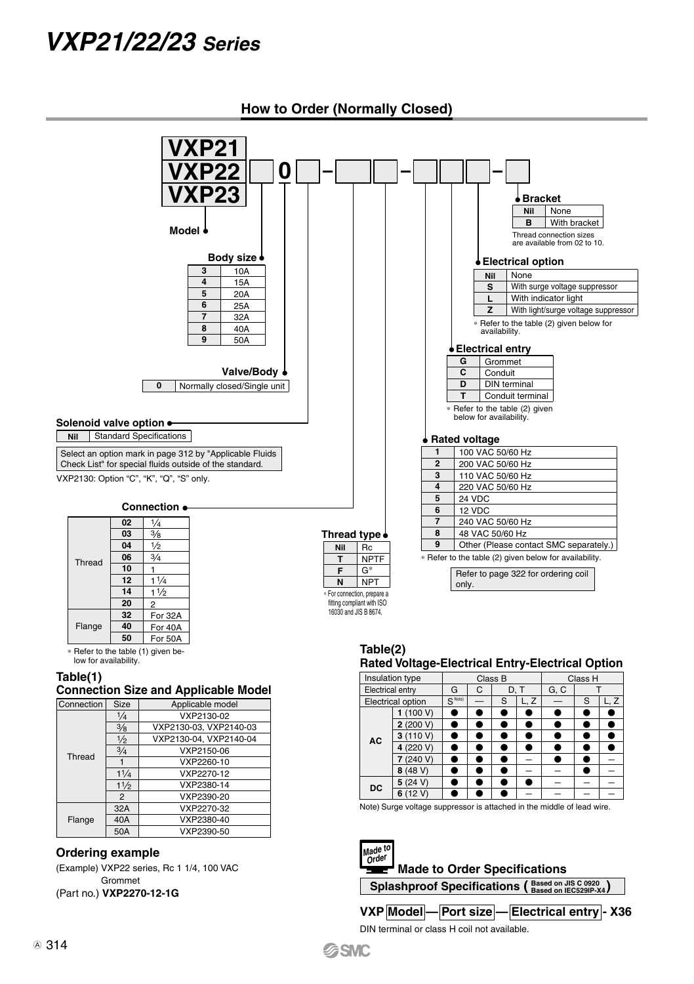

**SSMC** 

**How to Order (Normally Closed)**

**VXP Model — Port size — Electrical entry - X36**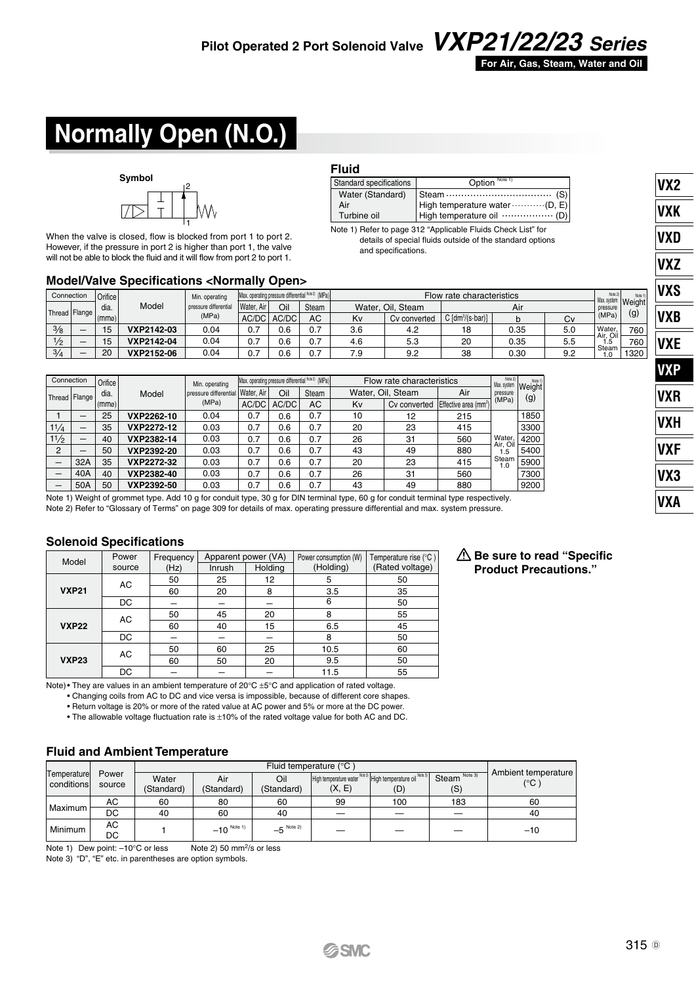

Steam (S) High temperature water ........... (D, E) High temperature oil (D)

Option

Note 1) Refer to page 312 "Applicable Fluids Check List" for details of special fluids outside of the standard options

and specifications.

# **Normally Open (N.O.)**



When the valve is closed, flow is blocked from port 1 to port 2. However, if the pressure in port 2 is higher than port 1, the valve will not be able to block the fluid and it will flow from port 2 to port 1.

### **Model/Valve Specifications <Normally Open>**

| Connection          |                          | Orifice I |            | Min. operating        | Max. operating pressure differential Note 2) (MPa) |       |              |     | Flow rate characteristics |                              |      |     |                          |               |
|---------------------|--------------------------|-----------|------------|-----------------------|----------------------------------------------------|-------|--------------|-----|---------------------------|------------------------------|------|-----|--------------------------|---------------|
|                     |                          | dia.      | Model      | pressure differential | Water.<br>Air                                      | Oil   | <b>Steam</b> |     | Water, Oil, Steam         |                              | Air  |     | Max. system<br>pressure  | <b>Weight</b> |
| Thread Flange (mme) |                          |           |            | (MPa)                 | AC/DC                                              | AC/DC | AC           | Kv  | Cv converted              | C [dm <sup>3</sup> /(s-bar)] |      | Cv  | (MPa)                    | (g)           |
| $\frac{3}{8}$       | $\overline{\phantom{a}}$ | 15        | VXP2142-03 | 0.04                  | 0.7                                                | 0.6   | 0.7          | 3.6 | 4.2                       | 18                           | 0.35 | 5.0 | <b>Water</b><br>Air. Oil | 760           |
| $\frac{1}{2}$       | $\overline{\phantom{a}}$ | 15        | VXP2142-04 | 0.04                  | 0.7                                                | 0.6   | 0.7          | 4.6 | 5.3                       | 20                           | 0.35 | 5.5 | 1.5                      | 760           |
| 3/4                 | $\overline{\phantom{a}}$ | 20        | VXP2152-06 | 0.04                  | 0.7                                                | 0.6   | 0.7          | 7.9 | 9.2                       | 38                           | 0.30 | 9.2 | Steam<br>0. ا            | 1320          |

**Fluid**

Standard specifications Water (Standard) Air Turbine oil

|                |     |                             |            | Min. operating        |     |              |       |       |                                                   |                   | Note 2)                                                        | Note 1                                    |  |     |
|----------------|-----|-----------------------------|------------|-----------------------|-----|--------------|-------|-------|---------------------------------------------------|-------------------|----------------------------------------------------------------|-------------------------------------------|--|-----|
|                |     | dia.                        | Model      | oressure differential |     | Oil          | Steam |       |                                                   | Air               | pressure                                                       | Weight                                    |  |     |
|                |     | (mmo)                       |            |                       |     | (MPa)        | AC/DC | AC/DC | AC                                                | Kv                | Cv converted                                                   |                                           |  | (g) |
|                |     | 25                          | VXP2262-10 | 0.04                  | 0.7 | 0.6          | 0.7   | 10    | 12                                                | 215               |                                                                | 1850                                      |  |     |
| 11/4           |     | 35                          | VXP2272-12 | 0.03                  | 0.7 | 0.6          | 0.7   | 20    | 23                                                | 415               |                                                                | 3300                                      |  |     |
| 11/2           |     | 40                          | VXP2382-14 | 0.03                  | 0.7 | 0.6          | 0.7   | 26    | 31                                                | 560               | Water.                                                         | 4200                                      |  |     |
| $\overline{2}$ |     | 50                          | VXP2392-20 | 0.03                  | 0.7 | 0.6          | 0.7   | 43    | 49                                                | 880               | í.5                                                            | 5400                                      |  |     |
| -              | 32A | 35                          | VXP2272-32 | 0.03                  | 0.7 | 0.6          | 0.7   | 20    | 23                                                | 415               | 1.0                                                            | 5900                                      |  |     |
| -              | 40A | 40                          | VXP2382-40 | 0.03                  | 0.7 | 0.6          | 0.7   | 26    | 31                                                | 560               |                                                                | 7300                                      |  |     |
|                | 50A | 50                          | VXP2392-50 | 0.03                  | 0.7 | 0.6          | 0.7   | 43    | 49                                                | 880               |                                                                | 9200                                      |  |     |
|                |     | Connection<br>Thread Flange |            | Orifice               |     | l Water, Air |       |       | Max. operating pressure differential Noe 2) (MPa) | Water, Oil, Steam | Flow rate characteristics<br>Effective area (mm <sup>2</sup> ) | Max. system<br>(MPa)<br>Air. Oil<br>Steam |  |     |

Note 1) Weight of grommet type. Add 10 g for conduit type, 30 g for DIN terminal type, 60 g for conduit terminal type respectively. Note 2) Refer to "Glossary of Terms" on page 309 for details of max. operating pressure differential and max. system pressure.

#### **Solenoid Specifications**

| Model        | Power<br>source | Frequency<br>(Hz) | Inrush | Apparent power (VA)<br>Holding | Power consumption (W)<br>(Holding) | Temperature rise (°C)<br>(Rated voltage) |
|--------------|-----------------|-------------------|--------|--------------------------------|------------------------------------|------------------------------------------|
|              | AC              | 50                | 25     | 12                             | 5                                  | 50                                       |
| <b>VXP21</b> |                 | 60                | 20     | 8                              | 3.5                                | 35                                       |
|              | DC              |                   |        |                                | 6                                  | 50                                       |
|              | AC              | 50                | 45     | 20                             | 8                                  | 55                                       |
| <b>VXP22</b> |                 | 60                | 40     | 15                             | 6.5                                | 45                                       |
|              | DC              | -                 |        |                                | 8                                  | 50                                       |
|              | AC              | 50                | 60     | 25                             | 10.5                               | 60                                       |
| <b>VXP23</b> |                 | 60                | 50     | 20                             | 9.5                                | 50                                       |
|              | DC              |                   |        |                                | 11.5                               | 55                                       |

**Be sure to read "Specific Product Precautions."** 

Note)• They are values in an ambient temperature of 20°C ±5°C and application of rated voltage.

• Changing coils from AC to DC and vice versa is impossible, because of different core shapes.

• Return voltage is 20% or more of the rated value at AC power and 5% or more at the DC power.

• The allowable voltage fluctuation rate is ±10% of the rated voltage value for both AC and DC.

#### **Fluid and Ambient Temperature**

|                            |                 |                     |                            |                         | Fluid temperature (°C)                                                |     |                                 | Ambient temperature |
|----------------------------|-----------------|---------------------|----------------------------|-------------------------|-----------------------------------------------------------------------|-----|---------------------------------|---------------------|
| Temperaturel<br>conditions | Power<br>source | Water<br>(Standard) | Air<br>(Standard)          | Oil<br>(Standard)       | High temperature water Note 3) High temperature oil Note 3)<br>(X, E) | (D) | Steam <sup>Note 3)</sup><br>(S) | (°C '               |
| Maximum                    | AC              | 60                  | 80                         | 60                      | 99                                                                    | 100 | 183                             | 60                  |
|                            | DC              | 40                  | 60                         | 40                      | -                                                                     |     | -                               | 40                  |
| Minimum                    | AC<br>DC        |                     | $-10^{N_{\text{other}}-1}$ | $-5$ <sup>Note 2)</sup> | –                                                                     | -   | –                               | $-10$               |

Note 1) Dew point: -10°C or less Note 2) 50 mm<sup>2</sup>/s or less

Note 3) "D", "E" etc. in parentheses are option symbols.

**VX2 VXK**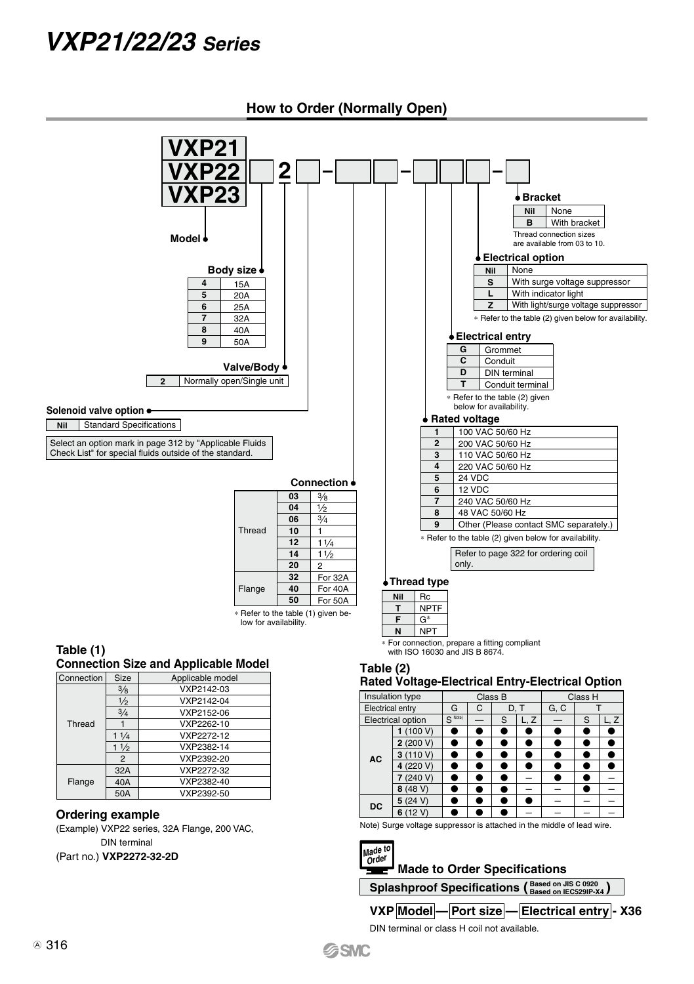

(Part no.) **VXP2272-32-2D**

Splashproof Specifications (Based on JIS C 0920<br> **Based on IEC529IP-X4)** 

**Made to Order Specifications** 

**VXP Model — Port size — Electrical entry - X36**

DIN terminal or class H coil not available.

**SSMC** 

**Order**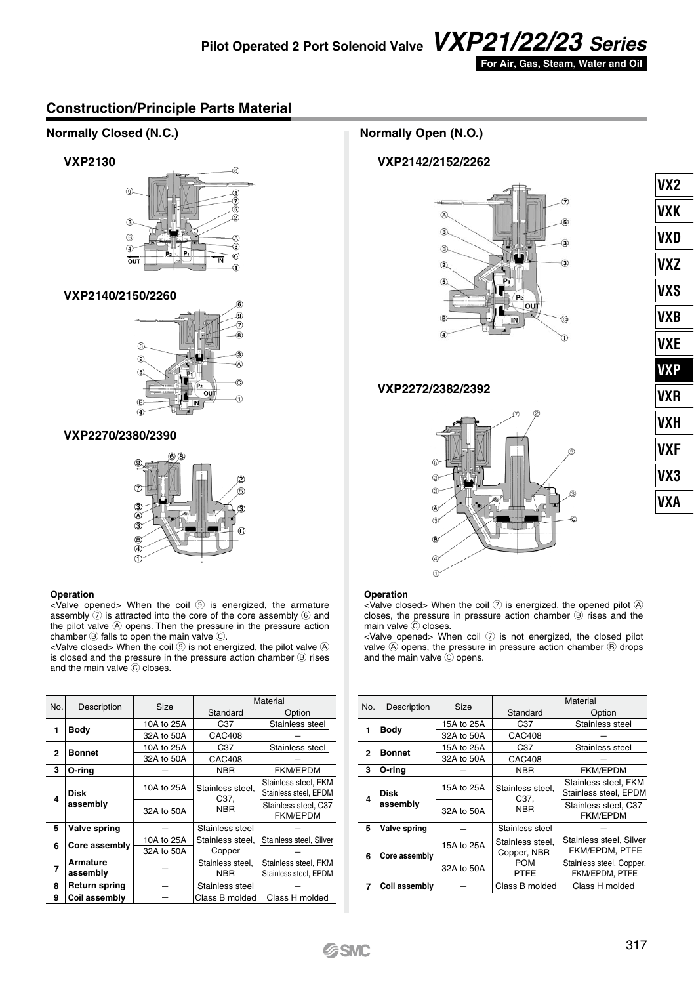

**VX2 VXK VXD VXZ VXS VXB VXE VXP VXR VXH VXF VX3 VXA**

### **Construction/Principle Parts Material**



|                      | 32A to 50A                             | CAC408           |                                               |
|----------------------|----------------------------------------|------------------|-----------------------------------------------|
|                      | 10A to 25A                             | C <sub>37</sub>  | Stainless steel                               |
|                      | 32A to 50A                             | CAC408           |                                               |
| O-ring               |                                        | <b>NBR</b>       | <b>FKM/EPDM</b>                               |
| Disk                 | 10A to 25A                             | Stainless steel. | Stainless steel, FKM<br>Stainless steel, EPDM |
| assembly             | 32A to 50A                             | <b>NBR</b>       | Stainless steel, C37<br><b>FKM/EPDM</b>       |
| Valve spring         |                                        | Stainless steel  |                                               |
|                      | 10A to 25A                             | Stainless steel. | Stainless steel, Silver                       |
|                      | 32A to 50A                             | Copper           |                                               |
| Armature             |                                        | Stainless steel. | Stainless steel, FKM                          |
| assembly             |                                        | NBR              | Stainless steel, EPDM                         |
| <b>Return spring</b> |                                        | Stainless steel  |                                               |
| Coil assembly        |                                        | Class B molded   | Class H molded                                |
|                      | Bodv<br><b>Bonnet</b><br>Core assembly |                  | C37.                                          |

| No. |               | Size       |                                 | Material                                      |  |  |  |  |
|-----|---------------|------------|---------------------------------|-----------------------------------------------|--|--|--|--|
|     | Description   |            | Standard                        | Option                                        |  |  |  |  |
| 1   | Bodv          | 15A to 25A | C37                             | Stainless steel                               |  |  |  |  |
|     |               | 32A to 50A | CAC408                          |                                               |  |  |  |  |
| 2   | <b>Bonnet</b> | 15A to 25A | C37                             | Stainless steel                               |  |  |  |  |
|     |               | 32A to 50A | CAC408                          |                                               |  |  |  |  |
| 3   | O-ring        |            | <b>NBR</b>                      | <b>FKM/EPDM</b>                               |  |  |  |  |
| 4   | Disk          | 15A to 25A | Stainless steel.<br>C37.        | Stainless steel, FKM<br>Stainless steel, EPDM |  |  |  |  |
|     | assembly      | 32A to 50A | <b>NBR</b>                      | Stainless steel, C37<br><b>FKM/EPDM</b>       |  |  |  |  |
| 5   | Valve spring  |            | Stainless steel                 |                                               |  |  |  |  |
| 6   | Core assembly | 15A to 25A | Stainless steel.<br>Copper, NBR | Stainless steel, Silver<br>FKM/EPDM, PTFE     |  |  |  |  |
|     |               | 32A to 50A | <b>POM</b><br>PTFE              | Stainless steel, Copper,<br>FKM/EPDM, PTFE    |  |  |  |  |
| 7   | Coil assembly |            | Class B molded                  | Class H molded                                |  |  |  |  |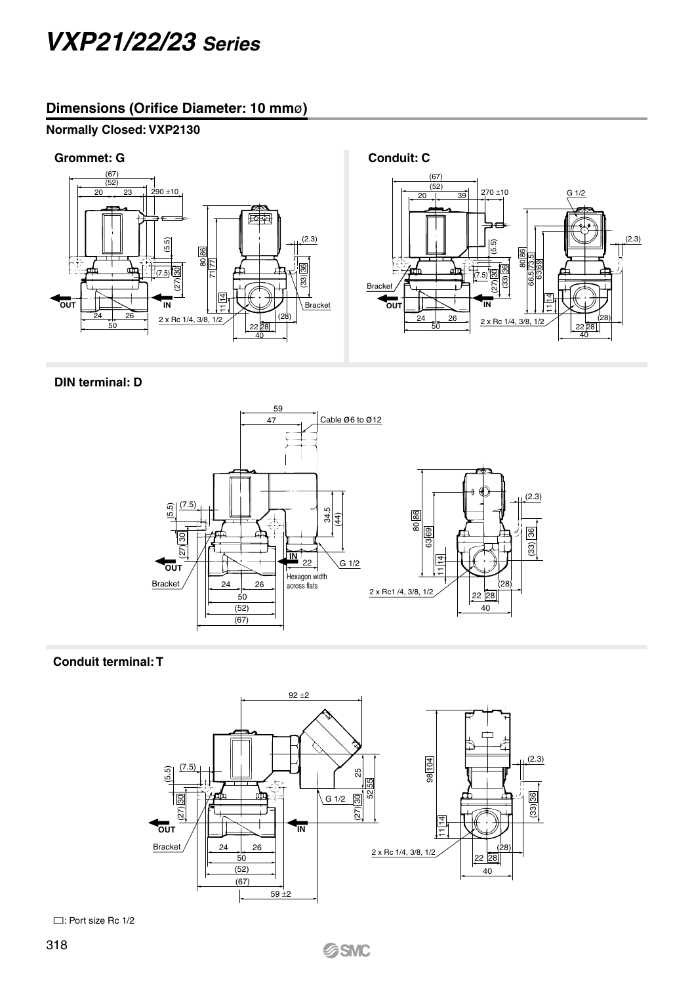# **Dimensions (Orifice Diameter: 10 mm**ø**)**

## **Normally Closed: VXP2130**



### **DIN terminal: D**



### **Conduit terminal: T**



: Port size Rc 1/2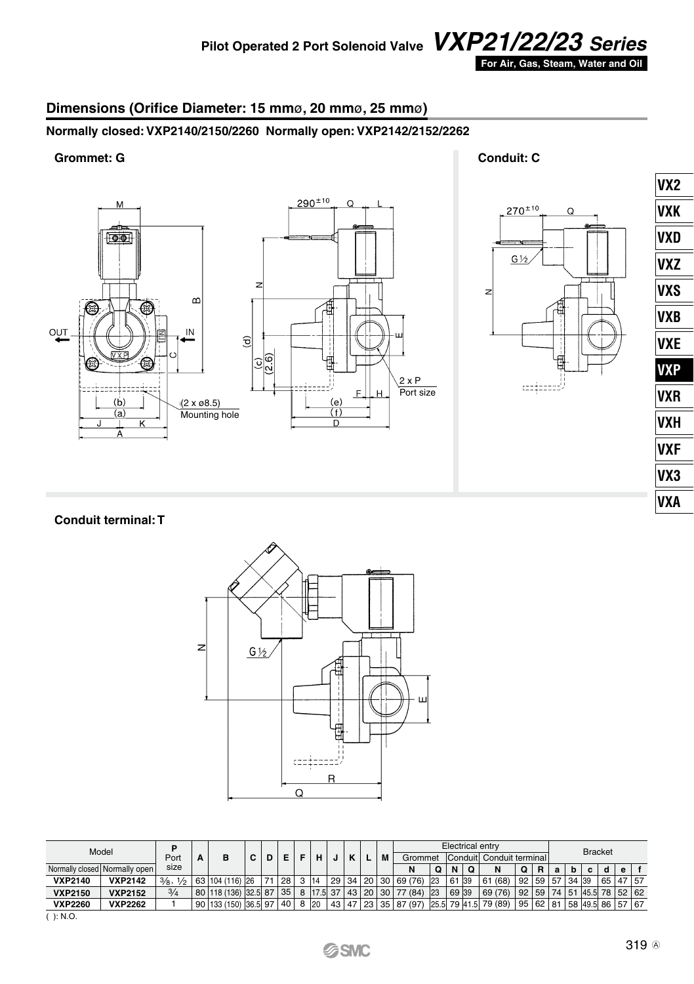

# **Dimensions (Orifice Diameter: 15 mm**ø**, 20 mm**ø**, 25 mm**ø**)**

# **Normally closed: VXP2140/2150/2260 Normally open: VXP2142/2152/2262**

### **Grommet: G Conduit: C**



 $270^{\pm 10}$ Q  $G\frac{1}{2}$  $\overline{z}$ للممعودة

| VX <sub>2</sub> |
|-----------------|
| VXK             |
| VXD             |
| VXZ             |
| <b>VXS</b>      |
| <b>VXB</b>      |
| VXE             |
| <b>VXP</b>      |
| VXR             |
| VXH             |
| <b>VXF</b>      |
| VX3             |
| <b>VXA</b>      |
|                 |

#### **Conduit terminal: T**



| Model          |                               | D<br>Port | А | в                             | c | Е.   |   |    |  |                  | M | Grommet |    |       |   | Electrical entry<br>Conduit Conduit terminal |                 |         |    |       | <b>Bracket</b>   |          |   |  |
|----------------|-------------------------------|-----------|---|-------------------------------|---|------|---|----|--|------------------|---|---------|----|-------|---|----------------------------------------------|-----------------|---------|----|-------|------------------|----------|---|--|
|                | Normally closed Normally open | size      |   |                               |   |      |   |    |  |                  |   | N       | Q  | N     | O | N                                            | Q               | R       | a  | b     | c                | a        | e |  |
| <b>VXP2140</b> | <b>VXP2142</b>                | 3/8, 1/2  |   | 63 104 (116) 26               |   | 28 I |   | 14 |  | 29 34 20 30      |   | 69 (76) | 23 | 61 39 |   | (68)<br>61                                   | 92 <sub>1</sub> | 59      | 57 | 34 39 |                  | 65 47 57 |   |  |
| <b>VXP2150</b> | <b>VXP2152</b>                | 3/4       |   | 80 118 (136) 32.5 87          |   | 35   | 8 |    |  | 17.5 37 43 20 30 |   | 77 (84) | 23 | 69 39 |   | 69 (76)                                      |                 | $92$ 59 | 74 | 51    | 45.5 78 52 62    |          |   |  |
| <b>VXP2260</b> | <b>VXP2262</b>                |           |   | 90 133 (150) 36.5 97   40   8 |   |      |   | 20 |  | 43 47 23 35      |   | 87 (97) |    |       |   | 25.5 79 41.5 79 (89)                         |                 | 95 62   | 81 |       | 58 49.5 86 57 67 |          |   |  |
| E. N.O.        |                               |           |   |                               |   |      |   |    |  |                  |   |         |    |       |   |                                              |                 |         |    |       |                  |          |   |  |

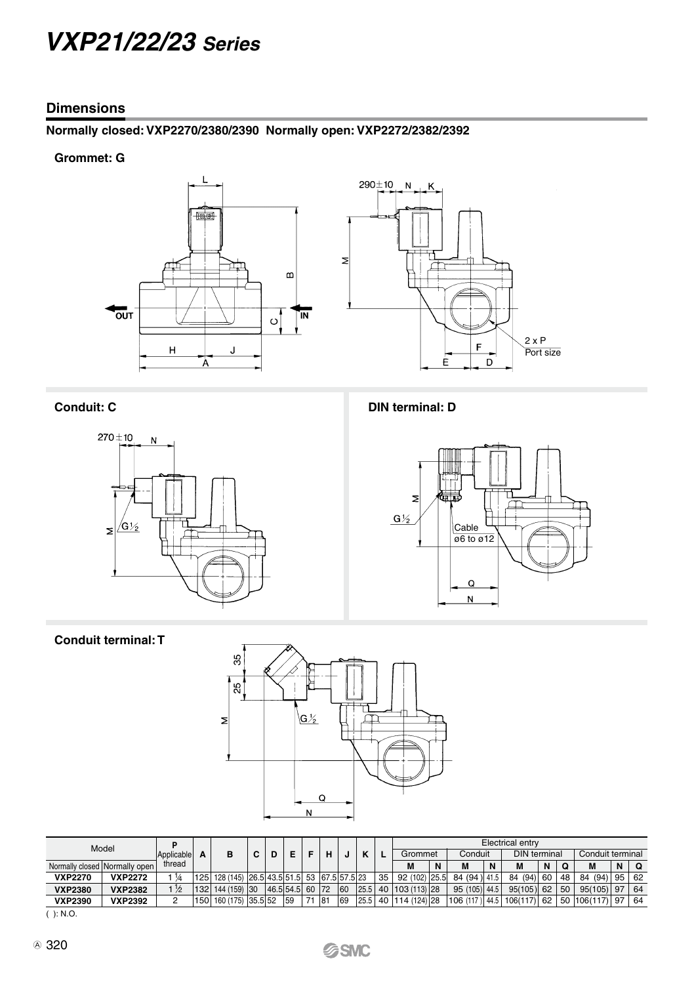### **Dimensions**

# **Normally closed: VXP2270/2380/2390 Normally open: VXP2272/2382/2392**

### **Grommet: G**







**Conduit: C DIN terminal: D** 



## **Conduit terminal: T**



| Model                         |                |               |     |                                              |   |                 |    |        |    |    | Electrical entry           |   |                |   |                     |    |    |                  |    |    |  |
|-------------------------------|----------------|---------------|-----|----------------------------------------------|---|-----------------|----|--------|----|----|----------------------------|---|----------------|---|---------------------|----|----|------------------|----|----|--|
|                               |                | Applicable    | A   |                                              | С | D               |    | н      |    |    | Grommet                    |   | Conduit        |   | <b>DIN</b> terminal |    |    | Conduit terminal |    |    |  |
| Normally closed Normally open |                | thread        |     |                                              |   |                 |    |        |    |    | M                          | N | М              | N | M                   | N  | Ω  | M                | N  | റ  |  |
| <b>VXP2270</b>                | <b>VXP2272</b> | $\frac{1}{4}$ |     | 125 128 (145) 26.5 43.5 51.5 53 67.5 57.5 23 |   |                 |    |        |    | 35 | 92 (102) 25.5              |   | 84 (94) 41.5   |   | 84 (94)             | 60 | 48 | 84 (94)          | 95 | 62 |  |
| <b>VXP2380</b>                | <b>VXP2382</b> | $\frac{1}{2}$ |     | 132 144 (159) 30                             |   | 46.5 54.5 60 72 |    |        | 60 |    | 25.5 40 103 (113) 28       |   | 95 (105) 44.5  |   | $95(105)$ 62        |    | 50 | 95(105)          | 97 | 64 |  |
| <b>VXP2390</b>                | <b>VXP2392</b> | 2             | 150 | 160 (175) 35.5 52                            |   |                 | 59 | $ 8^+$ | 69 |    | 25.5   40   114 (124)   28 |   | 106 (117) 44.5 |   | $106(117)$ 62       |    | 50 | 106(117)         | 97 | 64 |  |
| .                             |                |               |     |                                              |   |                 |    |        |    |    |                            |   |                |   |                     |    |    |                  |    |    |  |

( ): N.O.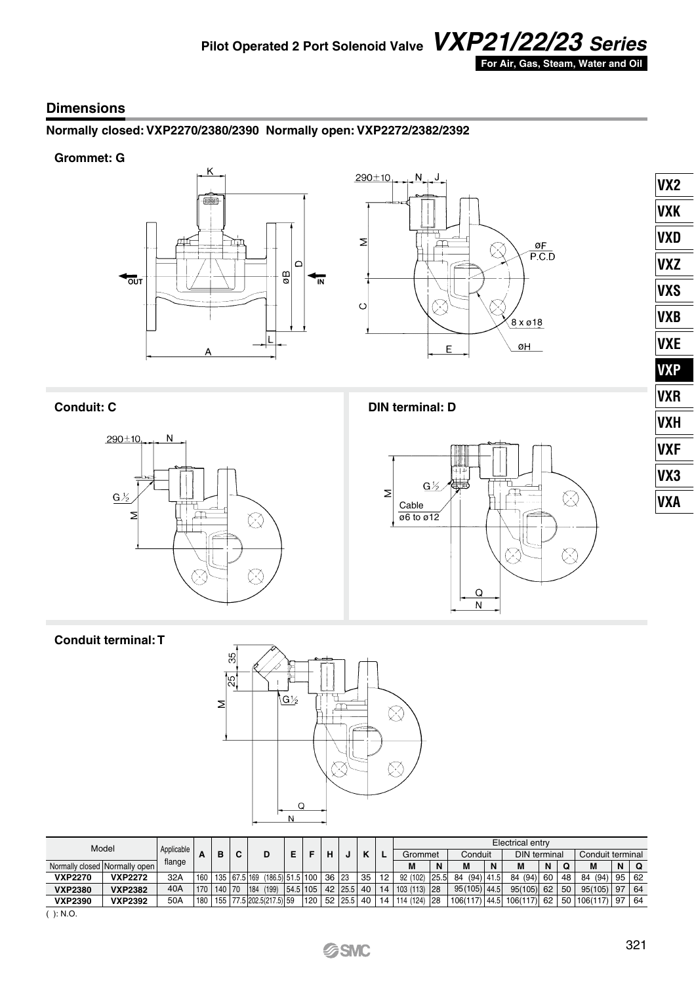

### **Dimensions**

# **Normally closed: VXP2270/2380/2390 Normally open: VXP2272/2382/2392**

### **Grommet: G**







**Conduit: C DIN terminal: D**



# **Conduit terminal: T**



| Model          |                               | Applicable |        |        |              |     |                       |          |     |       |         |                |    | Electrical entry |         |               |                     |          |    |                  |              |    |    |
|----------------|-------------------------------|------------|--------|--------|--------------|-----|-----------------------|----------|-----|-------|---------|----------------|----|------------------|---------|---------------|---------------------|----------|----|------------------|--------------|----|----|
|                |                               |            | в<br>- |        | C            |     |                       |          |     | н     |         | $\overline{ }$ |    | Grommet          | Conduit |               | <b>DIN</b> terminal |          |    | Conduit terminal |              |    |    |
|                | Normally closed Normally open | flange     |        |        |              |     |                       |          |     |       |         |                |    | M                | N       | M             | N                   |          | N  | Ω                | M            | N  | ∣Q |
| <b>VXP2270</b> | <b>VXP2272</b>                | 32A        | 160    |        | 135 67.5 169 |     | $(186.5)$ 51.5 100    |          |     | 36 23 |         | 35             | 12 | 92 (102)         | 25.5    | (94)<br>84    | 41.5                | 84 (94)  | 60 | 48               | 84 (94)      | 95 | 62 |
| <b>VXP2380</b> | <b>VXP2382</b>                | 40A        | 170    | 140 70 |              | 184 | (199)                 | 54.5 105 |     | 42    | 25.5    | 40             | 14 | $103(113)$ 28    |         | 95 (105) 44.5 |                     | 95(105)  | 62 | 50               | 95(105)      | 97 | 64 |
| <b>VXP2390</b> | <b>VXP2392</b>                | 50A        | 180    | 155    |              |     | 77.5 202.5 (217.5) 59 |          | 120 |       | 52 25.5 | 40 l           |    | 14 114 (124)     | 28      | 106(117)      | 144.5 <sub>1</sub>  | 106(117) | 62 |                  | 50 106 (117) | 97 | 64 |

 $( ): N.O.$